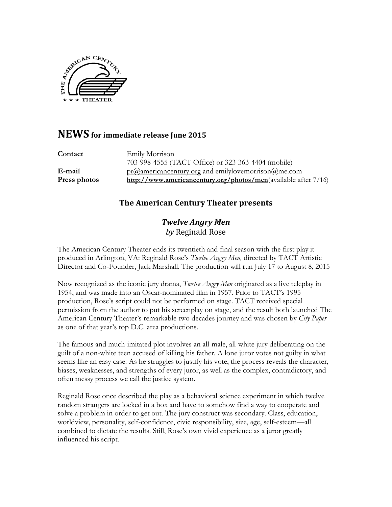

# **NEWS** for immediate release Iune 2015

| Contact      | Emily Morrison                                                                      |
|--------------|-------------------------------------------------------------------------------------|
|              | 703-998-4555 (TACT Office) or 323-363-4404 (mobile)                                 |
| E-mail       | $pr(\hat{\omega})$ americancentury organdemily lovemorrison $(\hat{\omega})$ me.com |
| Press photos | http://www.americancentury.org/photos/men(available after 7/16)                     |

## **The American Century Theater presents**

### *Twelve Angry Men by* Reginald Rose

The American Century Theater ends its twentieth and final season with the first play it produced in Arlington, VA: Reginald Rose's *Twelve Angry Men,* directed by TACT Artistic Director and Co-Founder, Jack Marshall. The production will run July 17 to August 8, 2015

Now recognized as the iconic jury drama, *Twelve Angry Men* originated as a live teleplay in 1954, and was made into an Oscar-nominated film in 1957. Prior to TACT's 1995 production, Rose's script could not be performed on stage. TACT received special permission from the author to put his screenplay on stage, and the result both launched The American Century Theater's remarkable two decades journey and was chosen by *City Paper* as one of that year's top D.C. area productions.

The famous and much-imitated plot involves an all-male, all-white jury deliberating on the guilt of a non-white teen accused of killing his father. A lone juror votes not guilty in what seems like an easy case. As he struggles to justify his vote, the process reveals the character, biases, weaknesses, and strengths of every juror, as well as the complex, contradictory, and often messy process we call the justice system.

Reginald Rose once described the play as a behavioral science experiment in which twelve random strangers are locked in a box and have to somehow find a way to cooperate and solve a problem in order to get out. The jury construct was secondary. Class, education, worldview, personality, self-confidence, civic responsibility, size, age, self-esteem—all combined to dictate the results. Still, Rose's own vivid experience as a juror greatly influenced his script.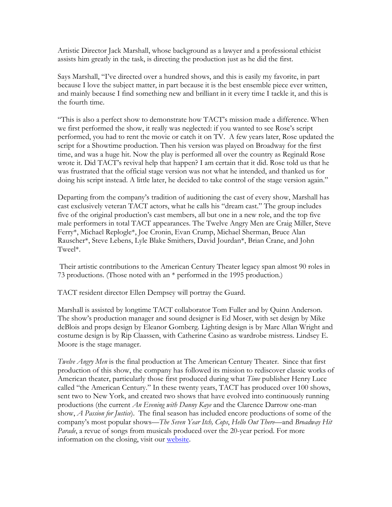Artistic Director Jack Marshall, whose background as a lawyer and a professional ethicist assists him greatly in the task, is directing the production just as he did the first.

Says Marshall, "I've directed over a hundred shows, and this is easily my favorite, in part because I love the subject matter, in part because it is the best ensemble piece ever written, and mainly because I find something new and brilliant in it every time I tackle it, and this is the fourth time.

"This is also a perfect show to demonstrate how TACT's mission made a difference. When we first performed the show, it really was neglected: if you wanted to see Rose's script performed, you had to rent the movie or catch it on TV. A few years later, Rose updated the script for a Showtime production. Then his version was played on Broadway for the first time, and was a huge hit. Now the play is performed all over the country as Reginald Rose wrote it. Did TACT's revival help that happen? I am certain that it did. Rose told us that he was frustrated that the official stage version was not what he intended, and thanked us for doing his script instead. A little later, he decided to take control of the stage version again."

Departing from the company's tradition of auditioning the cast of every show, Marshall has cast exclusively veteran TACT actors, what he calls his "dream cast." The group includes five of the original production's cast members, all but one in a new role, and the top five male performers in total TACT appearances. The Twelve Angry Men are Craig Miller, Steve Ferry\*, Michael Replogle\*, Joe Cronin, Evan Crump, Michael Sherman, Bruce Alan Rauscher\*, Steve Lebens, Lyle Blake Smithers, David Jourdan\*, Brian Crane, and John Tweel\*.

Their artistic contributions to the American Century Theater legacy span almost 90 roles in 73 productions. (Those noted with an \* performed in the 1995 production.)

TACT resident director Ellen Dempsey will portray the Guard.

Marshall is assisted by longtime TACT collaborator Tom Fuller and by Quinn Anderson. The show's production manager and sound designer is Ed Moser, with set design by Mike deBlois and props design by Eleanor Gomberg. Lighting design is by Marc Allan Wright and costume design is by Rip Claassen, with Catherine Casino as wardrobe mistress. Lindsey E. Moore is the stage manager.

*Twelve Angry Men* is the final production at The American Century Theater. Since that first production of this show, the company has followed its mission to rediscover classic works of American theater, particularly those first produced during what *Time* publisher Henry Luce called "the American Century." In these twenty years, TACT has produced over 100 shows, sent two to New York, and created two shows that have evolved into continuously running productions (the current *An Evening with Danny Kaye* and the Clarence Darrow one-man show, *A Passion for Justice*). The final season has included encore productions of some of the company's most popular shows—*The Seven Year Itch, Cops*, *Hello Out There*—and *Broadway Hit Parade*, a revue of songs from musicals produced over the 20-year period. For more information on the closing, visit our website.